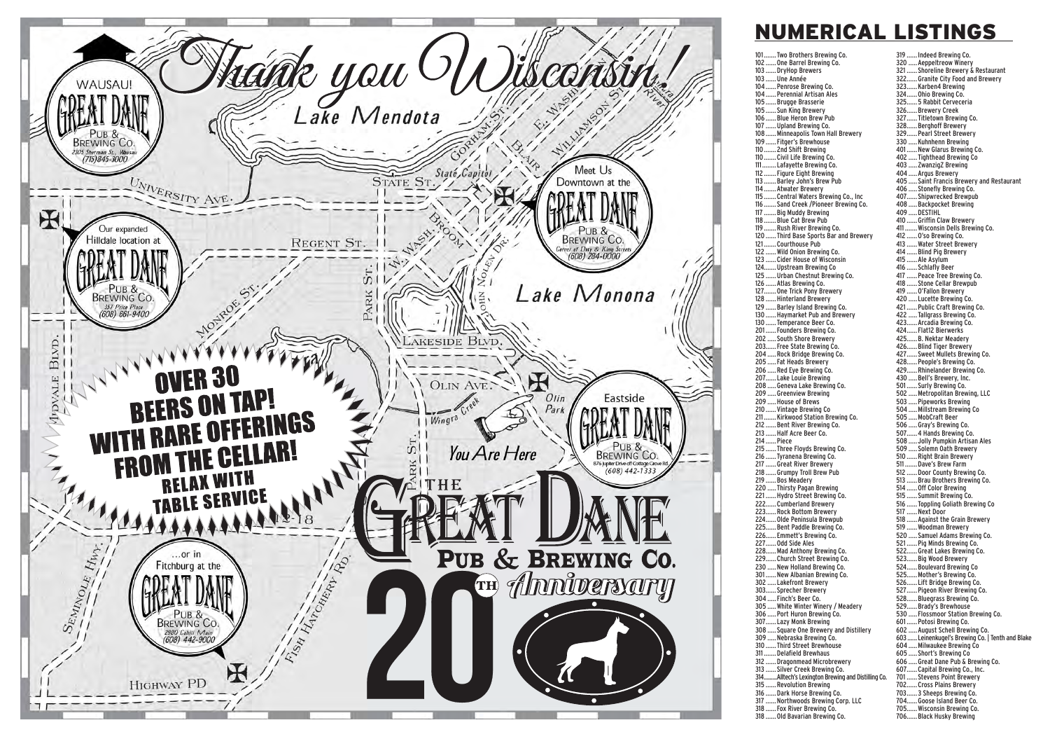

## **NUMERICAL LISTINGS**

101.......Two Brothers Brewing Co. 319 ...... Indeed Brewing Co. 102 ......One Barrel Brewing Co. ... DryHop Brewers  $103$ 103 ...... Une Année  $10A$ ..... Penrose Brewing Co.  $104$ ..... Perennial Artisan Ales 105 ...... Brugge Brasserie ... Sun King Brewery  $10.5<sub>1</sub>$ . Blue Heron Brew Pub 106 107 ... Upland Brewing Co. 108 ... Minneapolis Town Hall Brewery 109 ...... Fitger's Brewhouse  $110...$ .2nd Shift Brewing ..Civil Life Brewing Co.  $110...$ ..Lafayette Brewing Co. 111 ... Figure Eight Brewing  $112$  $113.$ .....Barley John's Brew Pub 114 ....... Atwater Brewery 115 .......Central Waters Brewing Co., Inc. ..Sand Creek /Pioneer Brewing Co.  $116.$ 117 ... Big Muddy Brewing ... Blue Cat Brew Pub 118  $119.$ .... Rush River Brewing Co. 120 ...... Third Base Sports Bar and Brewery 121.......Courthouse Pub ..... Wild Onion Brewing Co.  $122$  $123$ ... Cider House of Wisconsin  $124.$ .... Upstream Brewing Co 125 ...... Urban Chestnut Brewing Co.  $126.$ ..... Atlas Brewing Co. 127.......One Trick Pony Brewery 128 ...... Hinterland Brewery .....Barley Island Brewing Co.  $129.$  $130<sub>1</sub>$ .... Haymarket Pub and Brewery ... Temperance Beer Co.  $130$ 201 ...... Founders Brewing Co. 202 ..... South Shore Brewery 203...... Free State Brewing Co. .....Rock Bridge Brewing Co. 204 205 ..... Fat Heads Brewery 206 ..... Red Eye Brewing Co. .... Lake Louie Brewing 207. 208 ..... Geneva Lake Brewing Co. 209 ..... Greenview Brewing 209 ..... House of Brews  $210.$ ..... Vintage Brewing Co  $211.$ .... Kirkwood Station Brewing Co. 212 ...... Bent River Brewing Co. 213 ...... Half Acre Beer Co. 214 ...... Piece .... Three Flovds Brewing Co. 215 .....Tyranena Brewing Co.  $216.$ 217 ...... Great River Brewery 218 ...... Grumpy Troll Brew Pub 219 ...... Bos Meadery 220 ..... Thirsty Pagan Brewing 221 ...... Hydro Street Brewing Co. 222...... Cumberland Brewery 223......Rock Bottom Brewery 224......Olde Peninsula Brewpub 225......Bent Paddle Brewing Co. 226...... Emmett's Brewing Co. 227...... Odd Side Ales 228......Mad Anthony Brewing Co. 229......Church Street Brewing Co. 230 ..... New Holland Brewing Co. 301...... New Albanian Brewing Co. 302 Lakefront Brewery 303...... Sprecher Brewery 304 ..... Finch's Beer Co. 305 ..... White Winter Winery / Meadery 306 ..... Port Huron Brewing Co. ... Lazy Monk Brewing 307. 308 ... Square One Brewery and Distillery 309 ....Nebraska Brewing Co.  $310.$ ...Third Street Brewhouse ... Delafield Brewhaus 311. 312 ....Dragonmead Microbrewery ..... Silver Creek Brewing Co.  $313.$ ..<br>Alltech's Lexington Brewing and Distilling Co.  $314$  $315.$ .... Revolution Brewing 316 ....Dark Horse Brewing Co. 317 ... Northwoods Brewing Corp. LLC 318 ...... Fox River Brewing Co. 318 ...... Old Bavarian Brewing Co.

320 ..... Aeppeltreow Winery 321 ...... Shoreline Brewery & Restaurant 322...... Granite City Food and Brewery 323......Karben4 Brewing 324......Ohio Brewing Co. 325...... 5 Rabbit Cerveceria 326......Brewery Creek 327......Titletown Brewing Co. 328......Berghoff Brewery 329...... Pearl Street Brewery 330 ..... Kuhnhenn Brewing 401...... New Glarus Brewing Co. 402 ..... Tighthead Brewing Co 403 ..... ZwanzigZ Brewing 404 ..... Argus Brewery 405 ..... Saint Francis Brewery and Restaurant 406 ..... Stonefly Brewing Co. 407...... Shipwrecked Brewpub 408 ..... Backpocket Brewing 409 ..... DESTIHL 410 ...... Griffin Claw Brewery 411. ..... Wisconsin Dells Brewing Co. 412 ...... O'so Brewing Co. 413 ...... Water Street Brewery 414 ...... Blind Pig Brewery 415 ...... Ale Asylum 416 ...... Schlafly Beer 417 ...... Peace Tree Brewing Co. 418 ...... Stone Cellar Brewpub 419 ...... O'Fallon Brewery 420 ..... Lucette Brewing Co. 421 ...... Public Craft Brewing Co. 422 ..... Tallgrass Brewing Co. 423...... Arcadia Brewing Co. 424......Flat12 Bierwerks 425......B. Nektar Meadery 426......Blind Tiger Brewery 427...... Sweet Mullets Brewing Co. 428...... People's Brewing Co. 429......Rhinelander Brewing Co. 430 ..... Bell's Brewery, Inc. 501...... Surly Brewing Co. 502 ..... Metropolitan Brewing, LLC 503 ..... Pipeworks Brewing 504 ..... Millstream Brewing Co 505 ..... MobCraft Beer 506 ..... Gray's Brewing Co. 507...... 4 Hands Brewing Co. 508 ..... Jolly Pumpkin Artisan Ales 509 ..... Solemn Oath Brewery 510 ...... Right Brain Brewery 511 ....... Dave's Brew Farm  $512.$ .... Door County Brewing Co. 513 ...... Brau Brothers Brewing Co. 514 ...... Off Color Brewing 515 ...... Summit Brewing Co. 516 .... Toppling Goliath Brewing Co 517 ...... Next Door 518 ...... Against the Grain Brewery 519 ...... Woodman Brewery 520 ..... Samuel Adams Brewing Co. 521 ...... Pig Minds Brewing Co. 522......Great Lakes Brewing Co. 523......Big Wood Brewery 524......Boulevard Brewing Co 525......Mother's Brewing Co. 526......Lift Bridge Brewing Co. 527...... Pigeon River Brewing Co. 528......Bluegrass Brewing Co. 529...... Brady's Brewhouse 530 ..... Flossmoor Station Brewing Co. 601 ...... Potosi Brewing Co. 602 ..... August Schell Brewing Co. .... Leinenkugel's Brewing Co. | Tenth and Blake  $603.$ 604 ..... Milwaukee Brewing Co 605 ..... Short's Brewing Co 606 ..... Great Dane Pub & Brewing Co. 607......Capital Brewing Co., Inc. ..... Stevens Point Brewery 701 702...... Cross Plains Brewery 703...... 3 Sheeps Brewing Co. 704......Goose Island Beer Co. 705......Wisconsin Brewing Co. 706......Black Husky Brewing